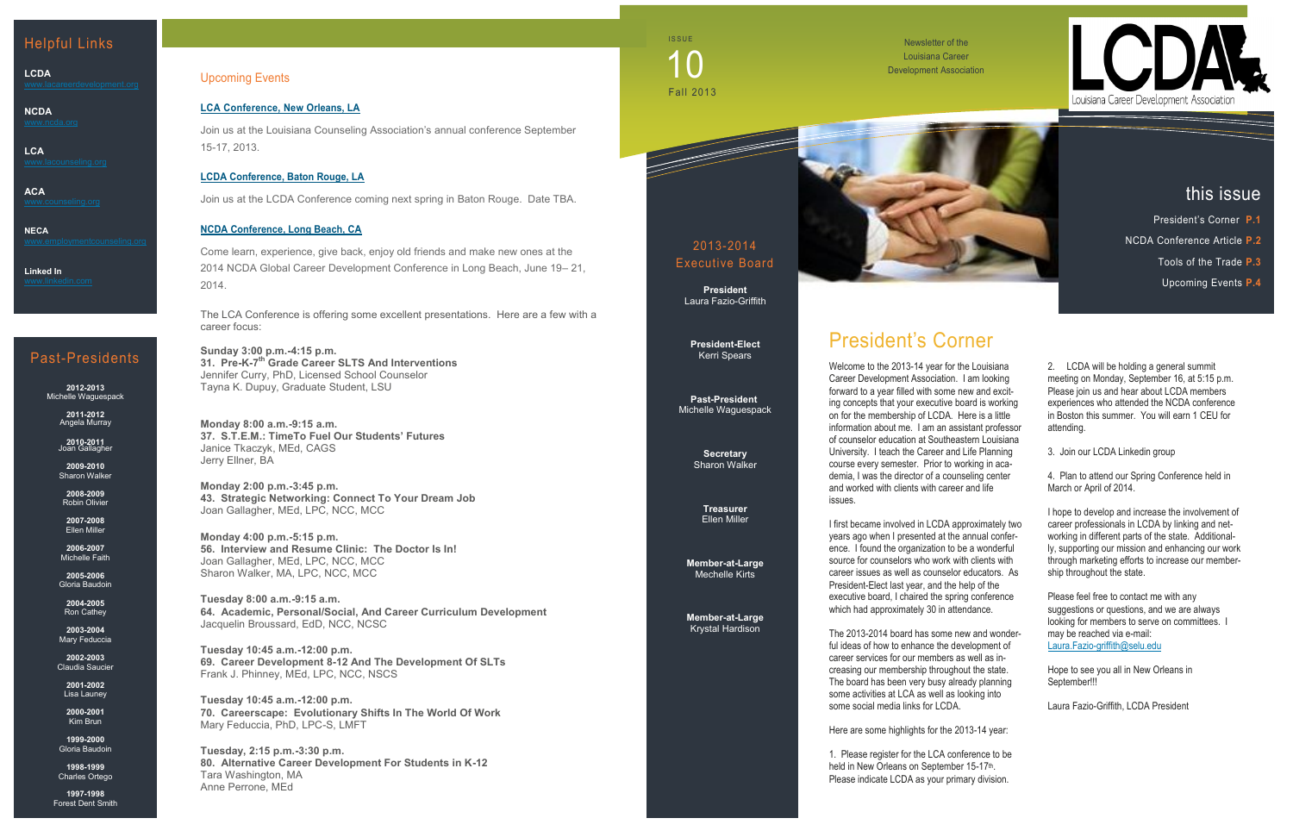## Upcoming Events

## **[LCA Conference, New](http://www.lacounseling.org/index.php?option=com_content&view=article&id=682&Itemid=244) Orleans, LA**

Join us at the Louisiana Counseling Association's annual conference September 15-17, 2013.

## **[LCDA Conference, Baton Rouge, LA](http://www.lacounseling.org/index.php?option=com_content&view=article&id=682&Itemid=244)**

Join us at the LCDA Conference coming next spring in Baton Rouge. Date TBA.

### **NCDA Conference, Long Beach, CA**

Come learn, experience, give back, enjoy old friends and make new ones at the 2014 NCDA Global Career Development Conference in Long Beach, June 19– 21, 2014.

The LCA Conference is offering some excellent presentations. Here are a few with a career focus:

**Sunday 3:00 p.m.-4:15 p.m. 31. Pre-K-7 th Grade Career SLTS And Interventions** Jennifer Curry, PhD, Licensed School Counselor Tayna K. Dupuy, Graduate Student, LSU

**Monday 8:00 a.m.-9:15 a.m. 37. S.T.E.M.: TimeTo Fuel Our Students' Futures** Janice Tkaczyk, MEd, CAGS Jerry Ellner, BA

**Monday 2:00 p.m.-3:45 p.m. 43. Strategic Networking: Connect To Your Dream Job** Joan Gallagher, MEd, LPC, NCC, MCC

> **Member-at-Large**  [Mechelle Kirts](mailto:gjohnso3@lsu.edu)

**Monday 4:00 p.m.-5:15 p.m. 56. Interview and Resume Clinic: The Doctor Is In!** Joan Gallagher, MEd, LPC, NCC, MCC Sharon Walker, MA, LPC, NCC, MCC

**Tuesday 8:00 a.m.-9:15 a.m. 64. Academic, Personal/Social, And Career Curriculum Development** Jacquelin Broussard, EdD, NCC, NCSC

**Tuesday 10:45 a.m.-12:00 p.m. 69. Career Development 8-12 And The Development Of SLTs** Frank J. Phinney, MEd, LPC, NCC, NSCS

**Tuesday 10:45 a.m.-12:00 p.m. 70. Careerscape: Evolutionary Shifts In The World Of Work** Mary Feduccia, PhD, LPC-S, LMFT

**Tuesday, 2:15 p.m.-3:30 p.m. 80. Alternative Career Development For Students in K-12** Tara Washington, MA Anne Perrone, MEd

Newsletter of the Louisiana Career Development Association

## Helpful Links

**LCDA**

**NCDA**

**LCA**

**ACA**

**NECA**

**Linked In**

## 2013-2014 Executive Board

**President** Laura Fazio-Griffith

**President-Elect** Kerri Spears

**Past-President** Michelle Waguespack

> **Secretary**  [Sharon Walker](mailto:Sharon.Walker@ololcollege.edu)

**Treasurer**  Ellen Miller

**Member-at-Large** [Krystal Hardison](mailto:khardison@selu.edu)

# President's Corner

Hope to see you all in New Orleans in September!!!

**ISSUE** Fall 2013 10

> Welcome to the 2013-14 year for the Louisiana Career Development Association. I am looking forward to a year filled with some new and exciting concepts that your executive board is working on for the membership of LCDA. Here is a little information about me. I am an assistant professor of counselor education at Southeastern Louisiana University. I teach the Career and Life Planning course every semester. Prior to working in academia, I was the director of a counseling center and worked with clients with career and life issues.

> I first became involved in LCDA approximately two years ago when I presented at the annual conference. I found the organization to be a wonderful source for counselors who work with clients with career issues as well as counselor educators. As President-Elect last year, and the help of the executive board, I chaired the spring conference which had approximately 30 in attendance.

The 2013-2014 board has some new and wonderful ideas of how to enhance the development of career services for our members as well as increasing our membership throughout the state. The board has been very busy already planning some activities at LCA as well as looking into some social media links for LCDA.

Here are some highlights for the 2013-14 year:

1. Please register for the LCA conference to be held in New Orleans on September 15-17<sup>th</sup>. Please indicate LCDA as your primary division.





2. LCDA will be holding a general summit meeting on Monday, September 16, at 5:15 p.m. Please join us and hear about LCDA members experiences who attended the NCDA conference in Boston this summer. You will earn 1 CEU for attending.

3. Join our LCDA Linkedin group

4. Plan to attend our Spring Conference held in March or April of 2014.

I hope to develop and increase the involvement of career professionals in LCDA by linking and networking in different parts of the state. Additionally, supporting our mission and enhancing our work through marketing efforts to increase our membership throughout the state.

Please feel free to contact me with any suggestions or questions, and we are always looking for members to serve on committees. I may be reached via e-mail: [Laura.Fazio-griffith@selu.edu](mailto:Laura.Fazio-griffith@selu.edu)

Laura Fazio-Griffith, LCDA President

## this issue

- President's Corner **P.1**
- NCDA Conference Article **P.2**
	- Tools of the Trade **P.3**
	- Upcoming Events **P.4**

## Past-Presidents

**2012-2013** Michelle Waguespack

> **2011-2012** Angela Murray

**2010-2011** Joan Gallagher

**2009-2010** Sharon Walker

**2008-2009** Robin Olivier

**2007-2008** Ellen Miller

**2006-2007** Michelle Faith

**2005-2006** Gloria Baudoin

**2004-2005** Ron Cathey

**2003-2004** Mary Feduccia

**2002-2003** Claudia Saucier

> **2001-2002** Lisa Launey

**2000-2001** Kim Brun

**1999-2000** Gloria Baudoin

**1998-1999** Charles Ortego

**1997-1998** Forest Dent Smith